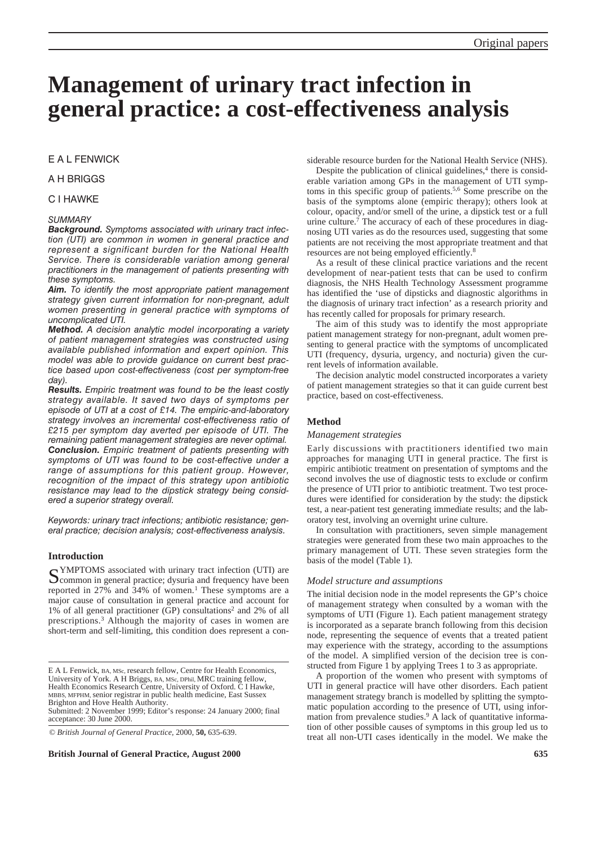# **Management of urinary tract infection in general practice: a cost-effectiveness analysis**

# E A L FENWICK

## A H BRIGGS

## C I HAWKE

## *SUMMARY*

*Background. Symptoms associated with urinary tract infection (UTI) are common in women in general practice and represent a significant burden for the National Health Service. There is considerable variation among general practitioners in the management of patients presenting with these symptoms.* 

*Aim. To identify the most appropriate patient management strategy given current information for non-pregnant, adult women presenting in general practice with symptoms of uncomplicated UTI.* 

*Method. A decision analytic model incorporating a variety of patient management strategies was constructed using available published information and expert opinion. This model was able to provide guidance on current best practice based upon cost-effectiveness (cost per symptom-free day).* 

*Results. Empiric treatment was found to be the least costly strategy available. It saved two days of symptoms per episode of UTI at a cost of £14. The empiric-and-laboratory strategy involves an incremental cost-effectiveness ratio of £215 per symptom day averted per episode of UTI. The remaining patient management strategies are never optimal. Conclusion. Empiric treatment of patients presenting with symptoms of UTI was found to be cost-effective under a range of assumptions for this patient group. However, recognition of the impact of this strategy upon antibiotic resistance may lead to the dipstick strategy being considered a superior strategy overall.*

*Keywords: urinary tract infections; antibiotic resistance; general practice; decision analysis; cost-effectiveness analysis.*

# **Introduction**

SYMPTOMS associated with urinary tract infection (UTI) are<br>Scommon in general practice; dysuria and frequency have been reported in  $27\%$  and  $34\%$  of women.<sup>1</sup> These symptoms are a major cause of consultation in general practice and account for 1% of all general practitioner (GP) consultations2 and 2% of all prescriptions.3 Although the majority of cases in women are short-term and self-limiting, this condition does represent a con-

© *British Journal of General Practice,* 2000, **50,** 635-639.

**British Journal of General Practice, August 2000 635**

siderable resource burden for the National Health Service (NHS).

Despite the publication of clinical guidelines, $4$  there is considerable variation among GPs in the management of UTI symptoms in this specific group of patients.5,6 Some prescribe on the basis of the symptoms alone (empiric therapy); others look at colour, opacity, and/or smell of the urine, a dipstick test or a full urine culture.7 The accuracy of each of these procedures in diagnosing UTI varies as do the resources used, suggesting that some patients are not receiving the most appropriate treatment and that resources are not being employed efficiently.8

As a result of these clinical practice variations and the recent development of near-patient tests that can be used to confirm diagnosis, the NHS Health Technology Assessment programme has identified the 'use of dipsticks and diagnostic algorithms in the diagnosis of urinary tract infection' as a research priority and has recently called for proposals for primary research.

The aim of this study was to identify the most appropriate patient management strategy for non-pregnant, adult women presenting to general practice with the symptoms of uncomplicated UTI (frequency, dysuria, urgency, and nocturia) given the current levels of information available.

The decision analytic model constructed incorporates a variety of patient management strategies so that it can guide current best practice, based on cost-effectiveness.

## **Method**

#### *Management strategies*

Early discussions with practitioners identified two main approaches for managing UTI in general practice. The first is empiric antibiotic treatment on presentation of symptoms and the second involves the use of diagnostic tests to exclude or confirm the presence of UTI prior to antibiotic treatment. Two test procedures were identified for consideration by the study: the dipstick test, a near-patient test generating immediate results; and the laboratory test, involving an overnight urine culture.

In consultation with practitioners, seven simple management strategies were generated from these two main approaches to the primary management of UTI. These seven strategies form the basis of the model (Table 1).

## *Model structure and assumptions*

The initial decision node in the model represents the GP's choice of management strategy when consulted by a woman with the symptoms of UTI (Figure 1). Each patient management strategy is incorporated as a separate branch following from this decision node, representing the sequence of events that a treated patient may experience with the strategy, according to the assumptions of the model. A simplified version of the decision tree is constructed from Figure 1 by applying Trees 1 to 3 as appropriate.

A proportion of the women who present with symptoms of UTI in general practice will have other disorders. Each patient management strategy branch is modelled by splitting the symptomatic population according to the presence of UTI, using information from prevalence studies.<sup>9</sup> A lack of quantitative information of other possible causes of symptoms in this group led us to treat all non-UTI cases identically in the model. We make the

E A L Fenwick, BA, MSc, research fellow, Centre for Health Economics, University of York. A H Briggs, BA, MSc, DPhil, MRC training fellow, Health Economics Research Centre, University of Oxford. C I Hawke, MBBS, MFPHM, senior registrar in public health medicine, East Sussex Brighton and Hove Health Authority. Submitted: 2 November 1999; Editor's response: 24 January 2000; final acceptance: 30 June 2000.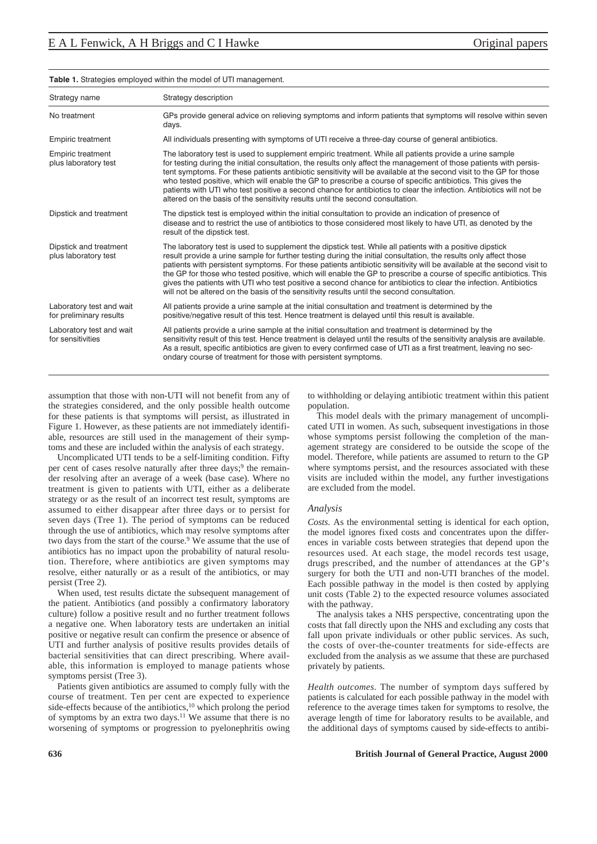| Strategy name                                       | Strategy description                                                                                                                                                                                                                                                                                                                                                                                                                                                                                                                                                                                                                                                                           |  |  |
|-----------------------------------------------------|------------------------------------------------------------------------------------------------------------------------------------------------------------------------------------------------------------------------------------------------------------------------------------------------------------------------------------------------------------------------------------------------------------------------------------------------------------------------------------------------------------------------------------------------------------------------------------------------------------------------------------------------------------------------------------------------|--|--|
| No treatment                                        | GPs provide general advice on relieving symptoms and inform patients that symptoms will resolve within seven<br>days.                                                                                                                                                                                                                                                                                                                                                                                                                                                                                                                                                                          |  |  |
| <b>Empiric treatment</b>                            | All individuals presenting with symptoms of UTI receive a three-day course of general antibiotics.                                                                                                                                                                                                                                                                                                                                                                                                                                                                                                                                                                                             |  |  |
| <b>Empiric treatment</b><br>plus laboratory test    | The laboratory test is used to supplement empiric treatment. While all patients provide a urine sample<br>for testing during the initial consultation, the results only affect the management of those patients with persis-<br>tent symptoms. For these patients antibiotic sensitivity will be available at the second visit to the GP for those<br>who tested positive, which will enable the GP to prescribe a course of specific antibiotics. This gives the<br>patients with UTI who test positive a second chance for antibiotics to clear the infection. Antibiotics will not be<br>altered on the basis of the sensitivity results until the second consultation.                     |  |  |
| Dipstick and treatment                              | The dipstick test is employed within the initial consultation to provide an indication of presence of<br>disease and to restrict the use of antibiotics to those considered most likely to have UTI, as denoted by the<br>result of the dipstick test.                                                                                                                                                                                                                                                                                                                                                                                                                                         |  |  |
| Dipstick and treatment<br>plus laboratory test      | The laboratory test is used to supplement the dipstick test. While all patients with a positive dipstick<br>result provide a urine sample for further testing during the initial consultation, the results only affect those<br>patients with persistent symptoms. For these patients antibiotic sensitivity will be available at the second visit to<br>the GP for those who tested positive, which will enable the GP to prescribe a course of specific antibiotics. This<br>gives the patients with UTI who test positive a second chance for antibiotics to clear the infection. Antibiotics<br>will not be altered on the basis of the sensitivity results until the second consultation. |  |  |
| Laboratory test and wait<br>for preliminary results | All patients provide a urine sample at the initial consultation and treatment is determined by the<br>positive/negative result of this test. Hence treatment is delayed until this result is available.                                                                                                                                                                                                                                                                                                                                                                                                                                                                                        |  |  |
| Laboratory test and wait<br>for sensitivities       | All patients provide a urine sample at the initial consultation and treatment is determined by the<br>sensitivity result of this test. Hence treatment is delayed until the results of the sensitivity analysis are available.<br>As a result, specific antibiotics are given to every confirmed case of UTI as a first treatment, leaving no sec-<br>ondary course of treatment for those with persistent symptoms.                                                                                                                                                                                                                                                                           |  |  |

#### **Table 1.** Strategies employed within the model of UTI management.

assumption that those with non-UTI will not benefit from any of the strategies considered, and the only possible health outcome for these patients is that symptoms will persist, as illustrated in Figure 1. However, as these patients are not immediately identifiable, resources are still used in the management of their symptoms and these are included within the analysis of each strategy.

Uncomplicated UTI tends to be a self-limiting condition. Fifty per cent of cases resolve naturally after three days; $9$  the remainder resolving after an average of a week (base case). Where no treatment is given to patients with UTI, either as a deliberate strategy or as the result of an incorrect test result, symptoms are assumed to either disappear after three days or to persist for seven days (Tree 1). The period of symptoms can be reduced through the use of antibiotics, which may resolve symptoms after two days from the start of the course.<sup>9</sup> We assume that the use of antibiotics has no impact upon the probability of natural resolution. Therefore, where antibiotics are given symptoms may resolve, either naturally or as a result of the antibiotics, or may persist (Tree 2).

When used, test results dictate the subsequent management of the patient. Antibiotics (and possibly a confirmatory laboratory culture) follow a positive result and no further treatment follows a negative one. When laboratory tests are undertaken an initial positive or negative result can confirm the presence or absence of UTI and further analysis of positive results provides details of bacterial sensitivities that can direct prescribing. Where available, this information is employed to manage patients whose symptoms persist (Tree 3).

Patients given antibiotics are assumed to comply fully with the course of treatment. Ten per cent are expected to experience side-effects because of the antibiotics,<sup>10</sup> which prolong the period of symptoms by an extra two days.11 We assume that there is no worsening of symptoms or progression to pyelonephritis owing

to withholding or delaying antibiotic treatment within this patient population.

This model deals with the primary management of uncomplicated UTI in women. As such, subsequent investigations in those whose symptoms persist following the completion of the management strategy are considered to be outside the scope of the model. Therefore, while patients are assumed to return to the GP where symptoms persist, and the resources associated with these visits are included within the model, any further investigations are excluded from the model.

### *Analysis*

*Costs.* As the environmental setting is identical for each option, the model ignores fixed costs and concentrates upon the differences in variable costs between strategies that depend upon the resources used. At each stage, the model records test usage, drugs prescribed, and the number of attendances at the GP's surgery for both the UTI and non-UTI branches of the model. Each possible pathway in the model is then costed by applying unit costs (Table 2) to the expected resource volumes associated with the pathway.

The analysis takes a NHS perspective, concentrating upon the costs that fall directly upon the NHS and excluding any costs that fall upon private individuals or other public services. As such, the costs of over-the-counter treatments for side-effects are excluded from the analysis as we assume that these are purchased privately by patients.

*Health outcomes.* The number of symptom days suffered by patients is calculated for each possible pathway in the model with reference to the average times taken for symptoms to resolve, the average length of time for laboratory results to be available, and the additional days of symptoms caused by side-effects to antibi-

## **636 British Journal of General Practice, August 2000**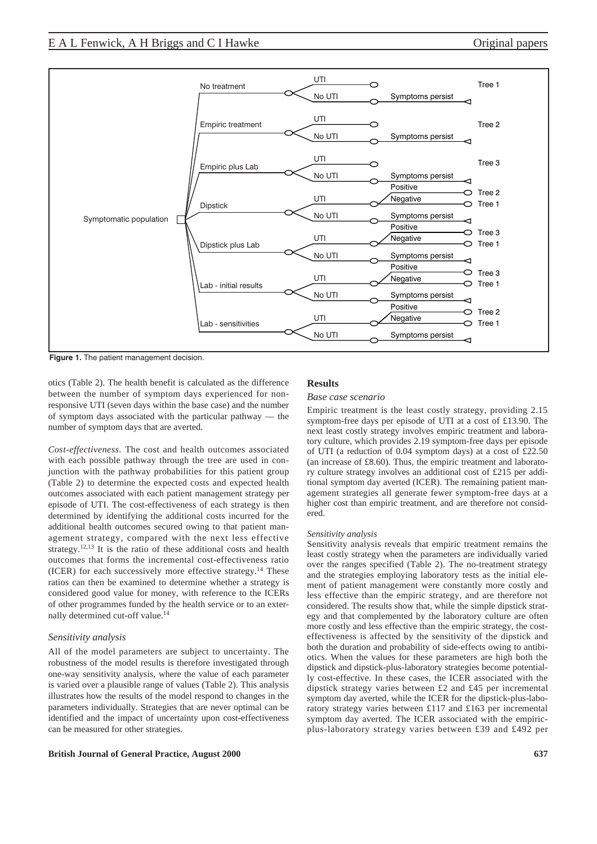

**Figure 1.** The patient management decision.

otics (Table 2). The health benefit is calculated as the difference between the number of symptom days experienced for nonresponsive UTI (seven days within the base case) and the number of symptom days associated with the particular pathway — the number of symptom days that are averted.

*Cost-effectiveness.* The cost and health outcomes associated with each possible pathway through the tree are used in conjunction with the pathway probabilities for this patient group (Table 2) to determine the expected costs and expected health outcomes associated with each patient management strategy per episode of UTI. The cost-effectiveness of each strategy is then determined by identifying the additional costs incurred for the additional health outcomes secured owing to that patient management strategy, compared with the next less effective strategy.<sup>12,13</sup> It is the ratio of these additional costs and health outcomes that forms the incremental cost-effectiveness ratio (ICER) for each successively more effective strategy.14 These ratios can then be examined to determine whether a strategy is considered good value for money, with reference to the ICERs of other programmes funded by the health service or to an externally determined cut-off value.14

## *Sensitivity analysis*

All of the model parameters are subject to uncertainty. The robustness of the model results is therefore investigated through one-way sensitivity analysis, where the value of each parameter is varied over a plausible range of values (Table 2). This analysis illustrates how the results of the model respond to changes in the parameters individually. Strategies that are never optimal can be identified and the impact of uncertainty upon cost-effectiveness can be measured for other strategies.

## **British Journal of General Practice, August 2000 637**

## **Results**

## *Base case scenario*

Empiric treatment is the least costly strategy, providing 2.15 symptom-free days per episode of UTI at a cost of £13.90. The next least costly strategy involves empiric treatment and laboratory culture, which provides 2.19 symptom-free days per episode of UTI (a reduction of 0.04 symptom days) at a cost of £22.50 (an increase of £8.60). Thus, the empiric treatment and laboratory culture strategy involves an additional cost of £215 per additional symptom day averted (ICER). The remaining patient management strategies all generate fewer symptom-free days at a higher cost than empiric treatment, and are therefore not considered.

#### *Sensitivity analysis*

Sensitivity analysis reveals that empiric treatment remains the least costly strategy when the parameters are individually varied over the ranges specified (Table 2). The no-treatment strategy and the strategies employing laboratory tests as the initial element of patient management were constantly more costly and less effective than the empiric strategy, and are therefore not considered. The results show that, while the simple dipstick strategy and that complemented by the laboratory culture are often more costly and less effective than the empiric strategy, the costeffectiveness is affected by the sensitivity of the dipstick and both the duration and probability of side-effects owing to antibiotics. When the values for these parameters are high both the dipstick and dipstick-plus-laboratory strategies become potentially cost-effective. In these cases, the ICER associated with the dipstick strategy varies between £2 and £45 per incremental symptom day averted, while the ICER for the dipstick-plus-laboratory strategy varies between £117 and £163 per incremental symptom day averted. The ICER associated with the empiricplus-laboratory strategy varies between £39 and £492 per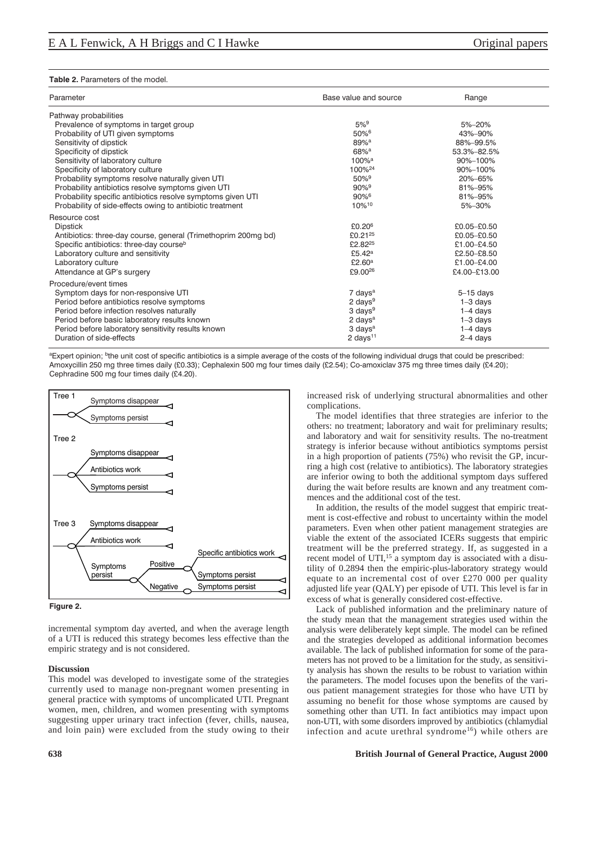#### **Table 2.** Parameters of the model.

| Parameter                                                      | Base value and source       | Range        |  |
|----------------------------------------------------------------|-----------------------------|--------------|--|
| Pathway probabilities                                          |                             |              |  |
| Prevalence of symptoms in target group                         | $5%^{9}$                    | 5%-20%       |  |
| Probability of UTI given symptoms                              | $50\%$ <sup>6</sup>         | 43%-90%      |  |
| Sensitivity of dipstick                                        | $89%$ <sup>a</sup>          | 88%-99.5%    |  |
| Specificity of dipstick                                        | $68%$ <sup>a</sup>          | 53.3%-82.5%  |  |
| Sensitivity of laboratory culture                              | $100%$ <sup>a</sup>         | 90%-100%     |  |
| Specificity of laboratory culture                              | 100% <sup>24</sup>          | 90%-100%     |  |
| Probability symptoms resolve naturally given UTI               | $50\%$ <sup>9</sup>         | 20%-65%      |  |
| Probability antibiotics resolve symptoms given UTI             | $90\%$ <sup>9</sup>         | 81%-95%      |  |
| Probability specific antibiotics resolve symptoms given UTI    | 90%6                        | 81%-95%      |  |
| Probability of side-effects owing to antibiotic treatment      | 10%10                       | 5%-30%       |  |
| Resource cost                                                  |                             |              |  |
| <b>Dipstick</b>                                                | £0.20 $6$                   | £0.05-£0.50  |  |
| Antibiotics: three-day course, general (Trimethoprim 200mg bd) | £0.21 <sup>25</sup>         | £0.05-£0.50  |  |
| Specific antibiotics: three-day course <sup>b</sup>            | £2.82 <sup>25</sup>         | £1.00-£4.50  |  |
| Laboratory culture and sensitivity                             | £5.42 $a$                   | £2.50-£8.50  |  |
| Laboratory culture                                             | £2.60 <sup>a</sup>          | £1.00-£4.00  |  |
| Attendance at GP's surgery                                     | £9.00 <sup>26</sup>         | £4.00-£13.00 |  |
| Procedure/event times                                          |                             |              |  |
| Symptom days for non-responsive UTI                            | 7 days <sup>a</sup>         | $5-15$ days  |  |
| Period before antibiotics resolve symptoms                     | 2 days <sup>9</sup>         | $1-3$ days   |  |
| Period before infection resolves naturally                     | $3 \text{ days}^9$          | $1-4$ days   |  |
| Period before basic laboratory results known                   | $2 \text{ days}^{\text{a}}$ | $1-3$ days   |  |
| Period before laboratory sensitivity results known             | 3 days <sup>a</sup>         | $1-4$ days   |  |
| Duration of side-effects                                       | 2 days <sup>11</sup>        | $2-4$ days   |  |
|                                                                |                             |              |  |

aExpert opinion; <sup>b</sup>the unit cost of specific antibiotics is a simple average of the costs of the following individual drugs that could be prescribed: Amoxycillin 250 mg three times daily (£0.33); Cephalexin 500 mg four times daily (£2.54); Co-amoxiclav 375 mg three times daily (£4.20); Cephradine 500 mg four times daily (£4.20).



**Figure 2.** 

incremental symptom day averted, and when the average length of a UTI is reduced this strategy becomes less effective than the empiric strategy and is not considered.

#### **Discussion**

This model was developed to investigate some of the strategies currently used to manage non-pregnant women presenting in general practice with symptoms of uncomplicated UTI. Pregnant women, men, children, and women presenting with symptoms suggesting upper urinary tract infection (fever, chills, nausea, and loin pain) were excluded from the study owing to their increased risk of underlying structural abnormalities and other complications.

The model identifies that three strategies are inferior to the others: no treatment; laboratory and wait for preliminary results; and laboratory and wait for sensitivity results. The no-treatment strategy is inferior because without antibiotics symptoms persist in a high proportion of patients (75%) who revisit the GP, incurring a high cost (relative to antibiotics). The laboratory strategies are inferior owing to both the additional symptom days suffered during the wait before results are known and any treatment commences and the additional cost of the test.

In addition, the results of the model suggest that empiric treatment is cost-effective and robust to uncertainty within the model parameters. Even when other patient management strategies are viable the extent of the associated ICERs suggests that empiric treatment will be the preferred strategy. If, as suggested in a recent model of UTI,<sup>15</sup> a symptom day is associated with a disutility of 0.2894 then the empiric-plus-laboratory strategy would equate to an incremental cost of over £270 000 per quality adjusted life year (QALY) per episode of UTI. This level is far in excess of what is generally considered cost-effective.

Lack of published information and the preliminary nature of the study mean that the management strategies used within the analysis were deliberately kept simple. The model can be refined and the strategies developed as additional information becomes available. The lack of published information for some of the parameters has not proved to be a limitation for the study, as sensitivity analysis has shown the results to be robust to variation within the parameters. The model focuses upon the benefits of the various patient management strategies for those who have UTI by assuming no benefit for those whose symptoms are caused by something other than UTI. In fact antibiotics may impact upon non-UTI, with some disorders improved by antibiotics (chlamydial infection and acute urethral syndrome<sup>16</sup>) while others are

## **638 British Journal of General Practice, August 2000**